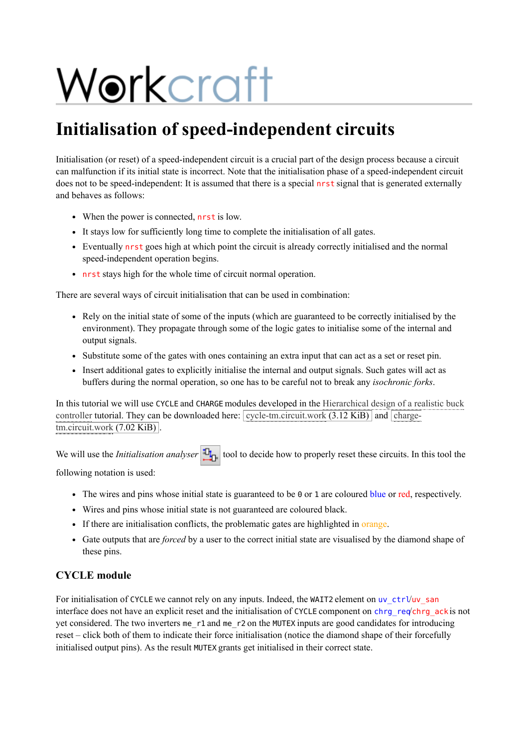# Workcraft

## **Initialisation of speed-independent circuits**

Initialisation (or reset) of a speed-independent circuit is a crucial part of the design process because a circuit can malfunction if its initial state is incorrect. Note that the initialisation phase of a speed-independent circuit does not to be speed-independent: It is assumed that there is a special nrst signal that is generated externally and behaves as follows:

- When the power is connected, nrst is low.
- It stays low for sufficiently long time to complete the initialisation of all gates.
- Eventually nrst goes high at which point the circuit is already correctly initialised and the normal speed-independent operation begins.
- nrst stays high for the whole time of circuit normal operation.

There are several ways of circuit initialisation that can be used in combination:

- Rely on the initial state of some of the inputs (which are guaranteed to be correctly initialised by the environment). They propagate through some of the logic gates to initialise some of the internal and output signals.
- Substitute some of the gates with ones containing an extra input that can act as a set or reset pin.
- Insert additional gates to explicitly initialise the internal and output signals. Such gates will act as buffers during the normal operation, so one has to be careful not to break any *isochronic forks*.

In this tutorial we will use CYCLE and CHARGE modules developed in the Hierarchical design of a realistic buck controller tutorial. They can be downloaded here:  $\sqrt{\text{cycle}-\text{tm.circuit} \text{work} (3.12 \text{ KiB})}$  and  $\sqrt{\text{charge}-\text{cm.circuit} \text{c}$  $t$ m.circuit.work (7.02 KiB)

We will use the *Initialisation analyser* **the** *I***<sub>D</sub>** tool to decide how to properly reset these circuits. In this tool the

following notation is used:

- The wires and pins whose initial state is guaranteed to be 0 or 1 are coloured blue or red, respectively.
- Wires and pins whose initial state is not guaranteed are coloured black.
- If there are initialisation conflicts, the problematic gates are highlighted in orange.
- Gate outputs that are *forced* by a user to the correct initial state are visualised by the diamond shape of these pins.

#### **CYCLE module**

For initialisation of CYCLE we cannot rely on any inputs. Indeed, the WAIT2 element on uv\_ctrl/uv\_san interface does not have an explicit reset and the initialisation of CYCLE component on chrg\_req'chrg\_ack is not yet considered. The two inverters me\_r1 and me\_r2 on the MUTEX inputs are good candidates for introducing reset – click both of them to indicate their force initialisation (notice the diamond shape of their forcefully initialised output pins). As the result MUTEX grants get initialised in their correct state.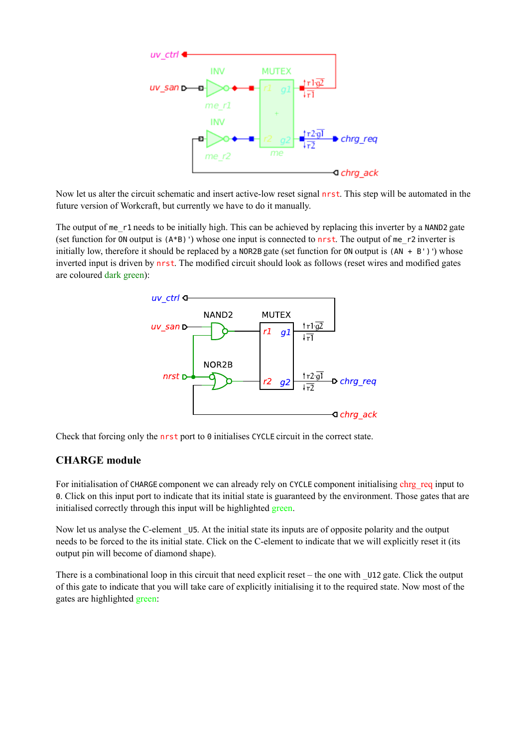

Now let us alter the circuit schematic and insert active-low reset signal nrst. This step will be automated in the future version of Workcraft, but currently we have to do it manually.

The output of me\_r1 needs to be initially high. This can be achieved by replacing this inverter by a NAND2 gate (set function for ON output is  $(A*B)'$ ) whose one input is connected to nrst. The output of me r2 inverter is initially low, therefore it should be replaced by a NOR2B gate (set function for ON output is  $(AN + B')$ ) whose inverted input is driven by nrst. The modified circuit should look as follows (reset wires and modified gates are coloured dark green):



Check that forcing only the nrst port to 0 initialises CYCLE circuit in the correct state.

#### **CHARGE module**

For initialisation of CHARGE component we can already rely on CYCLE component initialising chrg req input to 0. Click on this input port to indicate that its initial state is guaranteed by the environment. Those gates that are initialised correctly through this input will be highlighted green.

Now let us analyse the C-element U5. At the initial state its inputs are of opposite polarity and the output needs to be forced to the its initial state. Click on the C-element to indicate that we will explicitly reset it (its output pin will become of diamond shape).

There is a combinational loop in this circuit that need explicit reset – the one with \_U12 gate. Click the output of this gate to indicate that you will take care of explicitly initialising it to the required state. Now most of the gates are highlighted green: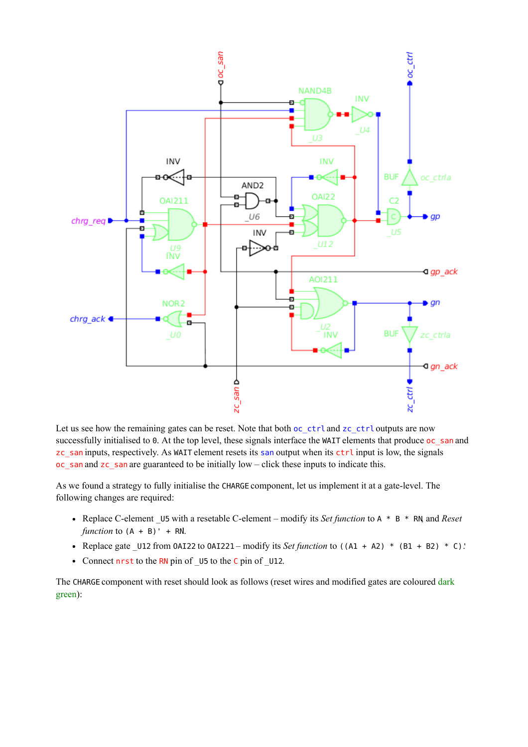

Let us see how the remaining gates can be reset. Note that both oc\_ctrl and zc\_ctrl outputs are now successfully initialised to 0. At the top level, these signals interface the WAIT elements that produce oc\_san and zc\_san inputs, respectively. As WAIT element resets its san output when its ctrl input is low, the signals oc\_san and zc\_san are guaranteed to be initially low – click these inputs to indicate this.

As we found a strategy to fully initialise the CHARGE component, let us implement it at a gate-level. The following changes are required:

- Replace C-element \_U5 with a resetable C-element modify its *Set function* to A \* B \* RN, and *Reset function* to  $(A + B)' + RN$ .
- Replace gate \_U12 from OAI22 to OAI221 modify its *Set function* to ((A1 + A2) \* (B1 + B2) \* C)'.
- Connect nrst to the RN pin of \_U5 to the C pin of \_U12.

The CHARGE component with reset should look as follows (reset wires and modified gates are coloured dark green):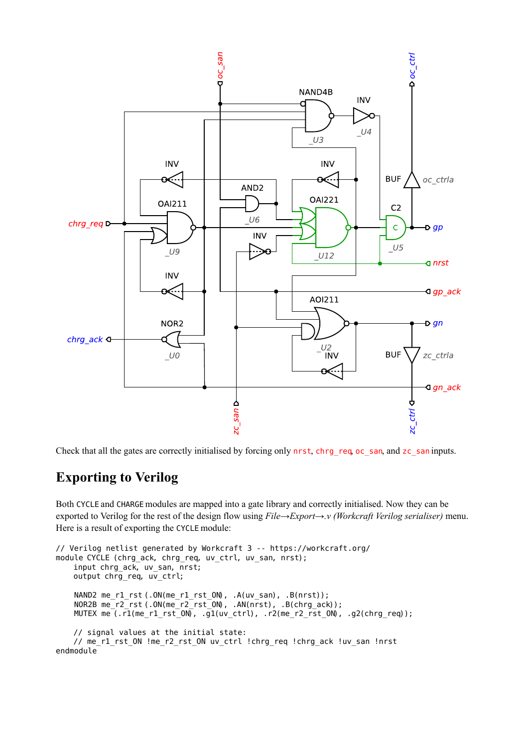

Check that all the gates are correctly initialised by forcing only nrst, chrg\_req, oc\_san, and zc\_san inputs.

### **Exporting to Verilog**

Both CYCLE and CHARGE modules are mapped into a gate library and correctly initialised. Now they can be exported to Verilog for the rest of the design flow using *File*→*Export*→*.v (Workcraft Verilog serialiser)* menu. Here is a result of exporting the CYCLE module:

```
// Verilog netlist generated by Workcraft 3 -- https://workcraft.org/
module CYCLE (chrg_ack, chrg_req, uv_ctrl, uv_san, nrst);
     input chrg_ack, uv_san, nrst;
     output chrg_req, uv_ctrl;
     NAND2 me_r1_rst (.ON(me_r1_rst_ON), .A(uv_san), .B(nrst));
     NOR2B me_r2_rst (.ON(me_r2_rst_ON), .AN(nrst), .B(chrg_ack));
     MUTEX me (.r1(me_r1_rst_ON), .g1(uv_ctrl), .r2(me_r2_rst_ON), .g2(chrg_req));
    // signal values at the initial state:
     // me_r1_rst_ON !me_r2_rst_ON uv_ctrl !chrg_req !chrg_ack !uv_san !nrst
endmodule
```